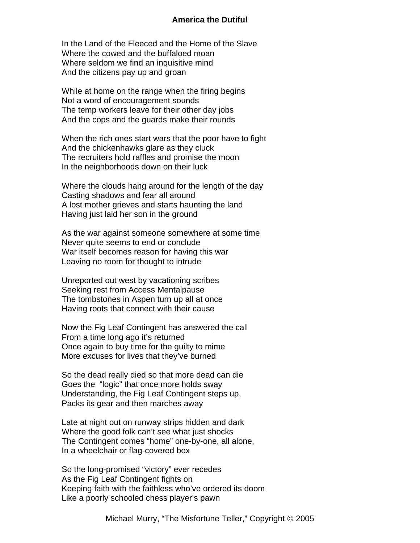## **America the Dutiful**

In the Land of the Fleeced and the Home of the Slave Where the cowed and the buffaloed moan Where seldom we find an inquisitive mind And the citizens pay up and groan

While at home on the range when the firing begins Not a word of encouragement sounds The temp workers leave for their other day jobs And the cops and the guards make their rounds

When the rich ones start wars that the poor have to fight And the chickenhawks glare as they cluck The recruiters hold raffles and promise the moon In the neighborhoods down on their luck

Where the clouds hang around for the length of the day Casting shadows and fear all around A lost mother grieves and starts haunting the land Having just laid her son in the ground

As the war against someone somewhere at some time Never quite seems to end or conclude War itself becomes reason for having this war Leaving no room for thought to intrude

Unreported out west by vacationing scribes Seeking rest from Access Mentalpause The tombstones in Aspen turn up all at once Having roots that connect with their cause

Now the Fig Leaf Contingent has answered the call From a time long ago it's returned Once again to buy time for the guilty to mime More excuses for lives that they've burned

So the dead really died so that more dead can die Goes the "logic" that once more holds sway Understanding, the Fig Leaf Contingent steps up, Packs its gear and then marches away

Late at night out on runway strips hidden and dark Where the good folk can't see what just shocks The Contingent comes "home" one-by-one, all alone, In a wheelchair or flag-covered box

So the long-promised "victory" ever recedes As the Fig Leaf Contingent fights on Keeping faith with the faithless who've ordered its doom Like a poorly schooled chess player's pawn